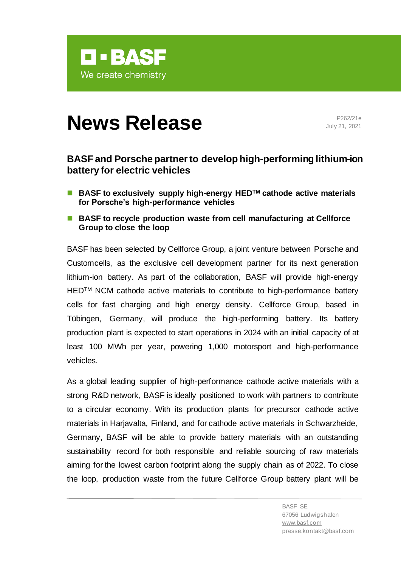

# **News Release** P262/21e

July 21, 2021

## **BASF and Porsche partner to develop high-performing lithium-ion battery for electric vehicles**

- BASF to exclusively supply high-energy HED<sup>™</sup> cathode active materials **for Porsche's high-performance vehicles**
- **BASF** to recycle production waste from cell manufacturing at Cellforce **Group to close the loop**

BASF has been selected by Cellforce Group, a joint venture between Porsche and Customcells, as the exclusive cell development partner for its next generation lithium-ion battery. As part of the collaboration, BASF will provide high-energy HED™ NCM cathode active materials to contribute to high-performance battery cells for fast charging and high energy density. Cellforce Group, based in Tübingen, Germany, will produce the high-performing battery. Its battery production plant is expected to start operations in 2024 with an initial capacity of at least 100 MWh per year, powering 1,000 motorsport and high-performance vehicles.

As a global leading supplier of high-performance cathode active materials with a strong R&D network, BASF is ideally positioned to work with partners to contribute to a circular economy. With its production plants for precursor cathode active materials in Harjavalta, Finland, and for cathode active materials in Schwarzheide, Germany, BASF will be able to provide battery materials with an outstanding sustainability record for both responsible and reliable sourcing of raw materials aiming for the lowest carbon footprint along the supply chain as of 2022. To close the loop, production waste from the future Cellforce Group battery plant will be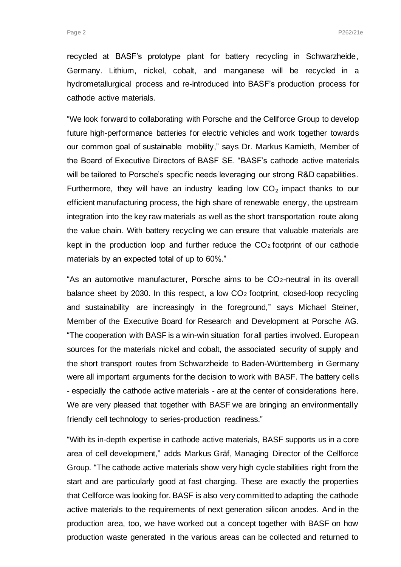recycled at BASF's prototype plant for battery recycling in Schwarzheide, Germany. Lithium, nickel, cobalt, and manganese will be recycled in a hydrometallurgical process and re-introduced into BASF's production process for cathode active materials.

"We look forward to collaborating with Porsche and the Cellforce Group to develop future high-performance batteries for electric vehicles and work together towards our common goal of sustainable mobility," says Dr. Markus Kamieth, Member of the Board of Executive Directors of BASF SE. "BASF's cathode active materials will be tailored to Porsche's specific needs leveraging our strong R&D capabilities. Furthermore, they will have an industry leading low  $CO<sub>2</sub>$  impact thanks to our efficient manufacturing process, the high share of renewable energy, the upstream integration into the key raw materials as well as the short transportation route along the value chain. With battery recycling we can ensure that valuable materials are kept in the production loop and further reduce the  $CO<sub>2</sub>$  footprint of our cathode materials by an expected total of up to 60%."

"As an automotive manufacturer, Porsche aims to be CO2-neutral in its overall balance sheet by 2030. In this respect, a low CO<sup>2</sup> footprint, closed-loop recycling and sustainability are increasingly in the foreground," says Michael Steiner, Member of the Executive Board for Research and Development at Porsche AG. "The cooperation with BASF is a win-win situation for all parties involved. European sources for the materials nickel and cobalt, the associated security of supply and the short transport routes from Schwarzheide to Baden-Württemberg in Germany were all important arguments for the decision to work with BASF. The battery cells - especially the cathode active materials - are at the center of considerations here. We are very pleased that together with BASF we are bringing an environmentally friendly cell technology to series-production readiness."

"With its in-depth expertise in cathode active materials, BASF supports us in a core area of cell development," adds Markus Gräf, Managing Director of the Cellforce Group. "The cathode active materials show very high cycle stabilities right from the start and are particularly good at fast charging. These are exactly the properties that Cellforce was looking for. BASF is also very committed to adapting the cathode active materials to the requirements of next generation silicon anodes. And in the production area, too, we have worked out a concept together with BASF on how production waste generated in the various areas can be collected and returned to